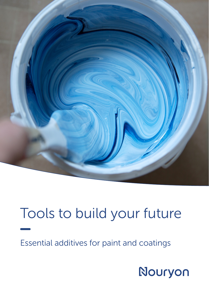

## Tools to build your future

Essential additives for paint and coatings

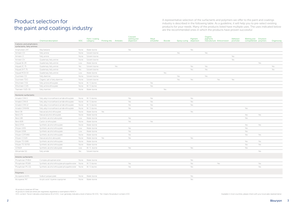## Product selection for the paint and coatings industry

A representative selection of the surfactants and polymers we offer to the paint and coatings industry is described in the following table. As a guideline, it will help you to pre-select existing products for your needs. Many of the products listed have multiple uses. The uses indicated below are the recommended ones in which the products have proven successful

All products listed are AP free

All products listed are either pre-registered, registered or exempted in REACH

VOC content: 'None' indicates a level below 1% of VOC, 'Low' generally indicates a level of below 5% VOC, 'Yes' means the product contains VOC Available in most countries, please check with your local sales representative

| rosion | Adhesion<br>promoter | Wetting and Emulsion<br>compatibilizer polymers |     | Organoclay |
|--------|----------------------|-------------------------------------------------|-----|------------|
|        |                      |                                                 |     |            |
|        |                      |                                                 |     |            |
|        |                      |                                                 |     |            |
|        | Yes                  |                                                 |     |            |
|        | Yes                  |                                                 |     |            |
|        |                      |                                                 | Yes |            |
|        |                      |                                                 |     | Yes        |
|        |                      |                                                 |     | Yes        |
|        |                      |                                                 |     |            |
|        |                      |                                                 |     |            |
|        | Yes                  |                                                 |     |            |
|        |                      |                                                 |     |            |
|        |                      |                                                 |     |            |
|        |                      |                                                 |     |            |
|        |                      |                                                 |     |            |
|        |                      |                                                 |     |            |
|        |                      |                                                 |     |            |
|        |                      |                                                 |     |            |
|        |                      | Yes                                             |     |            |
|        |                      |                                                 |     |            |
|        |                      | Yes                                             | Yes |            |
|        |                      | Yes                                             |     |            |
|        |                      |                                                 |     |            |
|        |                      | Yes                                             | Yes |            |
|        |                      | Yes                                             |     |            |
|        |                      | Yes                                             |     |            |
|        |                      | Yes                                             | Yes |            |
|        |                      | Yes                                             | Yes |            |
|        |                      | Yes                                             | Yes |            |
|        |                      | Yes                                             |     |            |
|        |                      |                                                 | Yes |            |
|        |                      |                                                 |     |            |
|        |                      |                                                 |     |            |
|        |                      |                                                 |     |            |
|        |                      |                                                 | Yes |            |
|        |                      |                                                 | Yes |            |
|        |                      |                                                 |     |            |
|        |                      |                                                 |     |            |

|                                                      | <b>Chemical description</b>                          | <b>VOC</b> | Paint / coating<br>category | Printing inks Antistatic |     | Colorant<br>wetting and<br>dispersion | Alkyd<br>emulsifier | <b>Biocide</b> | Epoxy curing | Pigment<br>dispersion | Organic<br>pigments | manufacture Anticorrosion | Adhesion<br>promoter | Wetting and<br>compatibilizer polymers | Emulsion | Or  |
|------------------------------------------------------|------------------------------------------------------|------------|-----------------------------|--------------------------|-----|---------------------------------------|---------------------|----------------|--------------|-----------------------|---------------------|---------------------------|----------------------|----------------------------------------|----------|-----|
| Cationic and amphoteric<br>surfactants, fatty amines |                                                      |            |                             |                          |     |                                       |                     |                |              |                       |                     |                           |                      |                                        |          |     |
| Amphoteen 24T                                        | Alkyl betaine                                        | None       | Water-borne                 |                          |     | Yes                                   |                     |                |              | Yes                   |                     |                           |                      |                                        |          |     |
| Armeen CD                                            | Fatty amine                                          | None       | Solvent-borne               |                          |     |                                       |                     |                | Yes          |                       | Yes                 |                           |                      |                                        |          |     |
| Armeen O                                             | Fatty amine                                          | None       | Solvent-borne               |                          |     |                                       |                     |                |              |                       |                     |                           | Yes                  |                                        |          |     |
| Armeen OV                                            | Quaternary fatty amine                               | None       | Solvent-borne               |                          |     |                                       |                     |                |              |                       |                     |                           | Yes                  |                                        |          |     |
| Arquad 16-29                                         | Quaternary fatty amine                               | Low        | Water-borne                 |                          |     |                                       |                     |                |              |                       |                     |                           |                      |                                        | Yes      |     |
| Arquad 2C-75                                         | Quaternary fatty amine                               | Yes        | Solvent-borne               |                          | Yes |                                       |                     |                |              | Yes                   | Yes                 |                           |                      |                                        |          | Yes |
| Arquad 2HT-75                                        | Quaternary fatty amine                               | Yes        | Solvent-borne               |                          |     |                                       |                     |                |              | Yes                   | Yes                 |                           |                      |                                        |          | Yes |
| Arquad MCB-50                                        | Quaternary fatty amine                               | Low        | Water-borne                 |                          |     |                                       |                     | Yes            |              |                       |                     |                           |                      |                                        |          |     |
| Duomeen CD                                           | Fatty diamine                                        | None       | Solvent-borne               |                          |     |                                       |                     |                | Yes          |                       | Yes                 |                           |                      |                                        |          |     |
| Duomeen TDO                                          | Organic salt of fatty diamine                        | None       | Solvent-borne               |                          |     |                                       |                     |                | Yes          | Yes                   |                     | Yes                       | Yes                  |                                        |          |     |
| Ethomeen T/15                                        | Fatty amine ethoxylate                               | None       | W / S-borne                 |                          |     |                                       | Yes                 |                |              |                       |                     |                           |                      |                                        |          |     |
| Ethomeen C/25                                        | Fatty amine ethoxylate                               | None       | W / S-borne                 |                          |     |                                       | Yes                 |                |              |                       |                     |                           |                      |                                        |          |     |
| Triameen Y12D-30                                     | Fatty triamine                                       | None       | Water-borne                 |                          |     |                                       |                     | Yes            |              |                       |                     |                           |                      |                                        |          |     |
| Nonionic surfactants                                 |                                                      |            |                             |                          |     |                                       |                     |                |              |                       |                     |                           |                      |                                        |          |     |
| Amadol CMA 5                                         | Fatty alkyl monoethanol amide ethoxylate             | None       | W / S-borne                 |                          |     | Yes                                   | Yes                 |                |              | Yes                   |                     |                           |                      |                                        |          |     |
| Amadol CMA 8                                         | Fatty alkyl monoethanol amide ethoxylate             | None       | W / S-borne                 |                          |     | Yes                                   | Yes                 |                |              | Yes                   |                     |                           |                      |                                        |          |     |
| Amadol CMA 12                                        | Fatty alkyl monoethanol amide ethoxylate             | None       | W / S-borne                 |                          |     | Yes                                   | Yes                 |                |              | Yes                   |                     |                           |                      |                                        |          |     |
| Amadol OMA4W                                         | Fatty alkyl monoethanol amide ethoxylate             | None       | W / S-borne                 |                          |     | Yes                                   | Yes                 |                |              |                       |                     |                           |                      | Yes                                    |          |     |
| Berol 08                                             | Natural alcohol ethoxylate                           | None       | Water-borne                 | Yes                      |     |                                       |                     |                |              | Yes                   |                     |                           |                      |                                        |          |     |
| Berol 175                                            | Natural alcohol ethoxylate                           | None       | Water-borne                 |                          |     |                                       |                     |                |              |                       |                     |                           |                      | Yes                                    | Yes      |     |
| Berol 185                                            | Synthetic alcohol alkoxylate                         | Low        | Water-borne                 |                          |     | Yes                                   |                     |                |              |                       |                     |                           |                      | Yes                                    |          |     |
| Berol 828                                            | Castor oil ethoxylate                                | None       | Water-borne                 |                          |     | Yes                                   | Yes                 |                |              |                       |                     |                           |                      |                                        |          |     |
| Berol EP25                                           | Synthetic alcohol ethoxylate                         | None       | Water-borne                 |                          |     |                                       |                     |                |              |                       |                     |                           |                      | Yes                                    | Yes      |     |
| Ethylan 1005                                         | Synthetic alcohol ethoxylate                         | Low        | Water-borne                 |                          |     | Yes                                   |                     |                |              |                       |                     |                           |                      | Yes                                    |          |     |
| Ethylan 1008                                         | Synthetic alcohol ethoxylate                         | Low        | Water-borne                 |                          |     | Yes                                   |                     |                |              |                       |                     |                           |                      | Yes                                    |          |     |
| Ethylan CDP1480                                      | Synthetic alcohol ethoxylate                         | None       | Water-borne                 |                          |     | Yes                                   |                     |                |              |                       |                     |                           |                      | Yes                                    | Yes      |     |
| Ethylan CO120                                        | Natural alcohol alkoxylate                           | None       | Water-borne                 | Yes                      |     | Yes                                   |                     |                |              | Yes                   |                     |                           |                      |                                        |          |     |
| Ethylan TD 1085                                      | Synthetic alcohol ethoxylate                         | None       | Water-borne                 |                          |     |                                       |                     |                |              |                       |                     |                           |                      | Yes                                    | Yes      |     |
| Ethylan TD 3070E                                     | Synthetic alcohol ethoxylate                         | None       | Water-borne                 |                          |     |                                       |                     |                |              |                       |                     |                           |                      | Yes                                    | Yes      |     |
| GT2624                                               | Synthetic alcohol alkoxylate                         | Low        | W / S -borne                |                          |     | Yes                                   |                     |                |              | Yes                   |                     |                           |                      | Yes                                    |          |     |
| Witcamide 511                                        | Fatty amide                                          | Yes        | Solvent-borne               |                          |     |                                       |                     |                |              |                       |                     |                           |                      |                                        | Yes      |     |
| Anionic surfactants                                  |                                                      |            |                             |                          |     |                                       |                     |                |              |                       |                     |                           |                      |                                        |          |     |
| Phospholan PHB14                                     | Complex phosphate ester                              | None       | Water-borne                 |                          |     |                                       |                     |                |              | Yes                   |                     |                           |                      |                                        |          |     |
| Phospholan PE169                                     | Synthetic alcohol ethoxylate phospahte ester    None |            | W / S-borne                 |                          |     | Yes                                   |                     |                |              | Yes                   |                     | Yes                       |                      |                                        | Yes      |     |
| Phospholan PS-131                                    | Synthetic alcohol ethoxylate phospahte ester    None |            | W / S-borne                 |                          |     | Yes                                   |                     |                |              | Yes                   |                     |                           |                      |                                        | Yes      |     |
| Polymers                                             |                                                      |            |                             |                          |     |                                       |                     |                |              |                       |                     |                           |                      |                                        |          |     |
| Alcosperse 602N                                      | Sodium polyacrylate                                  | None       | Water-borne                 |                          |     |                                       |                     |                |              | Yes                   |                     |                           |                      |                                        |          |     |
| Alcosperse 747                                       | Acrylic acid / styrene copolymer                     | None       | Water-borne                 |                          |     |                                       |                     |                |              | Yes                   |                     |                           |                      |                                        |          |     |